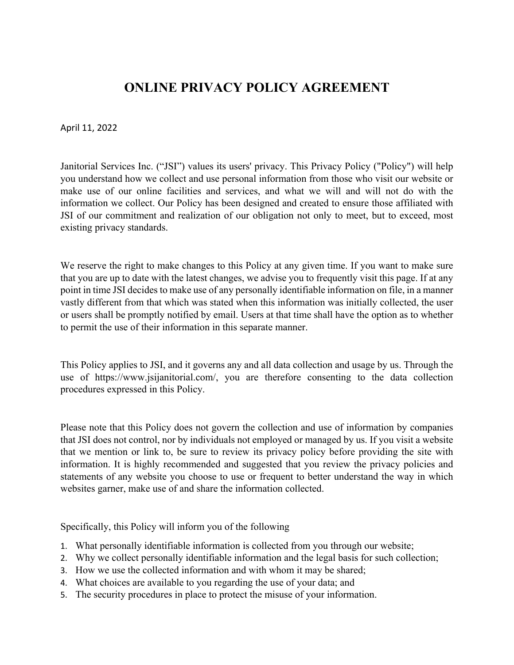# **ONLINE PRIVACY POLICY AGREEMENT**

April 11, 2022

Janitorial Services Inc. ("JSI") values its users' privacy. This Privacy Policy ("Policy") will help you understand how we collect and use personal information from those who visit our website or make use of our online facilities and services, and what we will and will not do with the information we collect. Our Policy has been designed and created to ensure those affiliated with JSI of our commitment and realization of our obligation not only to meet, but to exceed, most existing privacy standards.

We reserve the right to make changes to this Policy at any given time. If you want to make sure that you are up to date with the latest changes, we advise you to frequently visit this page. If at any point in time JSI decides to make use of any personally identifiable information on file, in a manner vastly different from that which was stated when this information was initially collected, the user or users shall be promptly notified by email. Users at that time shall have the option as to whether to permit the use of their information in this separate manner.

This Policy applies to JSI, and it governs any and all data collection and usage by us. Through the use of https://www.jsijanitorial.com/, you are therefore consenting to the data collection procedures expressed in this Policy.

Please note that this Policy does not govern the collection and use of information by companies that JSI does not control, nor by individuals not employed or managed by us. If you visit a website that we mention or link to, be sure to review its privacy policy before providing the site with information. It is highly recommended and suggested that you review the privacy policies and statements of any website you choose to use or frequent to better understand the way in which websites garner, make use of and share the information collected.

Specifically, this Policy will inform you of the following

- 1. What personally identifiable information is collected from you through our website;
- 2. Why we collect personally identifiable information and the legal basis for such collection;
- 3. How we use the collected information and with whom it may be shared;
- 4. What choices are available to you regarding the use of your data; and
- 5. The security procedures in place to protect the misuse of your information.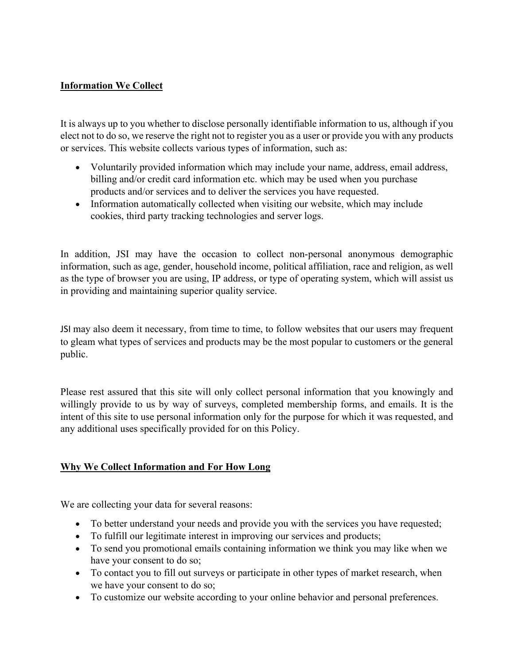# **Information We Collect**

It is always up to you whether to disclose personally identifiable information to us, although if you elect not to do so, we reserve the right not to register you as a user or provide you with any products or services. This website collects various types of information, such as:

- Voluntarily provided information which may include your name, address, email address, billing and/or credit card information etc. which may be used when you purchase products and/or services and to deliver the services you have requested.
- Information automatically collected when visiting our website, which may include cookies, third party tracking technologies and server logs.

In addition, JSI may have the occasion to collect non-personal anonymous demographic information, such as age, gender, household income, political affiliation, race and religion, as well as the type of browser you are using, IP address, or type of operating system, which will assist us in providing and maintaining superior quality service.

JSI may also deem it necessary, from time to time, to follow websites that our users may frequent to gleam what types of services and products may be the most popular to customers or the general public.

Please rest assured that this site will only collect personal information that you knowingly and willingly provide to us by way of surveys, completed membership forms, and emails. It is the intent of this site to use personal information only for the purpose for which it was requested, and any additional uses specifically provided for on this Policy.

# **Why We Collect Information and For How Long**

We are collecting your data for several reasons:

- To better understand your needs and provide you with the services you have requested;
- To fulfill our legitimate interest in improving our services and products;
- To send you promotional emails containing information we think you may like when we have your consent to do so;
- To contact you to fill out surveys or participate in other types of market research, when we have your consent to do so;
- To customize our website according to your online behavior and personal preferences.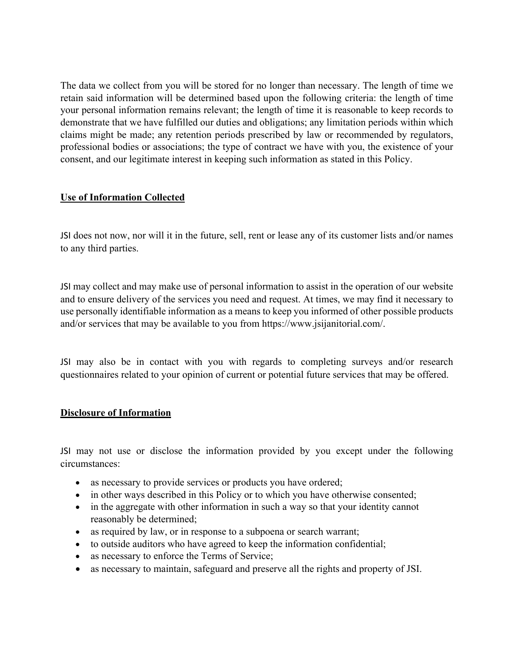The data we collect from you will be stored for no longer than necessary. The length of time we retain said information will be determined based upon the following criteria: the length of time your personal information remains relevant; the length of time it is reasonable to keep records to demonstrate that we have fulfilled our duties and obligations; any limitation periods within which claims might be made; any retention periods prescribed by law or recommended by regulators, professional bodies or associations; the type of contract we have with you, the existence of your consent, and our legitimate interest in keeping such information as stated in this Policy.

# **Use of Information Collected**

JSI does not now, nor will it in the future, sell, rent or lease any of its customer lists and/or names to any third parties.

JSI may collect and may make use of personal information to assist in the operation of our website and to ensure delivery of the services you need and request. At times, we may find it necessary to use personally identifiable information as a means to keep you informed of other possible products and/or services that may be available to you from https://www.jsijanitorial.com/.

JSI may also be in contact with you with regards to completing surveys and/or research questionnaires related to your opinion of current or potential future services that may be offered.

# **Disclosure of Information**

JSI may not use or disclose the information provided by you except under the following circumstances:

- as necessary to provide services or products you have ordered;
- in other ways described in this Policy or to which you have otherwise consented;
- in the aggregate with other information in such a way so that your identity cannot reasonably be determined;
- as required by law, or in response to a subpoena or search warrant;
- to outside auditors who have agreed to keep the information confidential;
- as necessary to enforce the Terms of Service;
- as necessary to maintain, safeguard and preserve all the rights and property of JSI.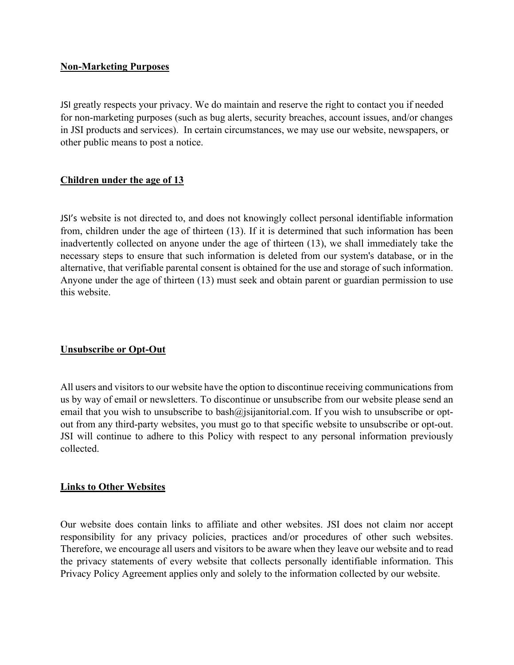### **Non-Marketing Purposes**

JSI greatly respects your privacy. We do maintain and reserve the right to contact you if needed for non-marketing purposes (such as bug alerts, security breaches, account issues, and/or changes in JSI products and services). In certain circumstances, we may use our website, newspapers, or other public means to post a notice.

## **Children under the age of 13**

JSI's website is not directed to, and does not knowingly collect personal identifiable information from, children under the age of thirteen (13). If it is determined that such information has been inadvertently collected on anyone under the age of thirteen (13), we shall immediately take the necessary steps to ensure that such information is deleted from our system's database, or in the alternative, that verifiable parental consent is obtained for the use and storage of such information. Anyone under the age of thirteen (13) must seek and obtain parent or guardian permission to use this website.

# **Unsubscribe or Opt-Out**

All users and visitors to our website have the option to discontinue receiving communications from us by way of email or newsletters. To discontinue or unsubscribe from our website please send an email that you wish to unsubscribe to bash@isijanitorial.com. If you wish to unsubscribe or optout from any third-party websites, you must go to that specific website to unsubscribe or opt-out. JSI will continue to adhere to this Policy with respect to any personal information previously collected.

#### **Links to Other Websites**

Our website does contain links to affiliate and other websites. JSI does not claim nor accept responsibility for any privacy policies, practices and/or procedures of other such websites. Therefore, we encourage all users and visitors to be aware when they leave our website and to read the privacy statements of every website that collects personally identifiable information. This Privacy Policy Agreement applies only and solely to the information collected by our website.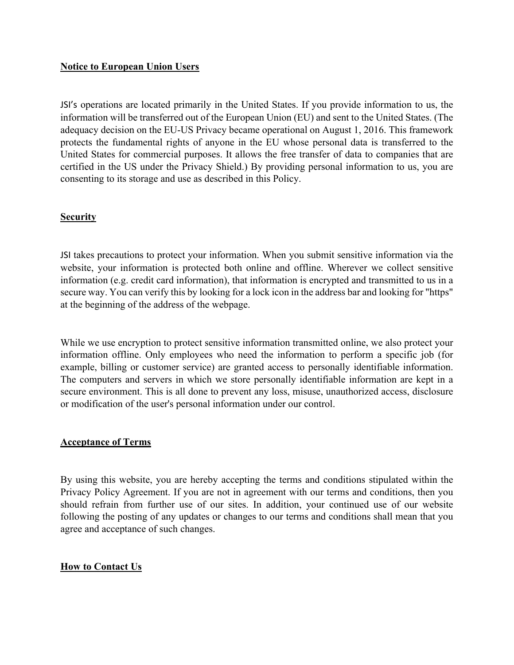## **Notice to European Union Users**

JSI's operations are located primarily in the United States. If you provide information to us, the information will be transferred out of the European Union (EU) and sent to the United States. (The adequacy decision on the EU-US Privacy became operational on August 1, 2016. This framework protects the fundamental rights of anyone in the EU whose personal data is transferred to the United States for commercial purposes. It allows the free transfer of data to companies that are certified in the US under the Privacy Shield.) By providing personal information to us, you are consenting to its storage and use as described in this Policy.

## **Security**

JSI takes precautions to protect your information. When you submit sensitive information via the website, your information is protected both online and offline. Wherever we collect sensitive information (e.g. credit card information), that information is encrypted and transmitted to us in a secure way. You can verify this by looking for a lock icon in the address bar and looking for "https" at the beginning of the address of the webpage.

While we use encryption to protect sensitive information transmitted online, we also protect your information offline. Only employees who need the information to perform a specific job (for example, billing or customer service) are granted access to personally identifiable information. The computers and servers in which we store personally identifiable information are kept in a secure environment. This is all done to prevent any loss, misuse, unauthorized access, disclosure or modification of the user's personal information under our control.

#### **Acceptance of Terms**

By using this website, you are hereby accepting the terms and conditions stipulated within the Privacy Policy Agreement. If you are not in agreement with our terms and conditions, then you should refrain from further use of our sites. In addition, your continued use of our website following the posting of any updates or changes to our terms and conditions shall mean that you agree and acceptance of such changes.

# **How to Contact Us**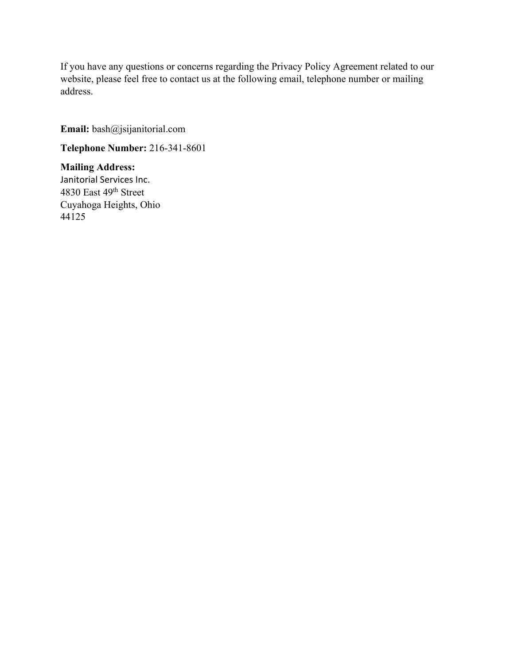If you have any questions or concerns regarding the Privacy Policy Agreement related to our website, please feel free to contact us at the following email, telephone number or mailing address.

**Email:** bash@jsijanitorial.com

**Telephone Number:** 216-341-8601

**Mailing Address:** Janitorial Services Inc. 4830 East 49th Street Cuyahoga Heights, Ohio 44125